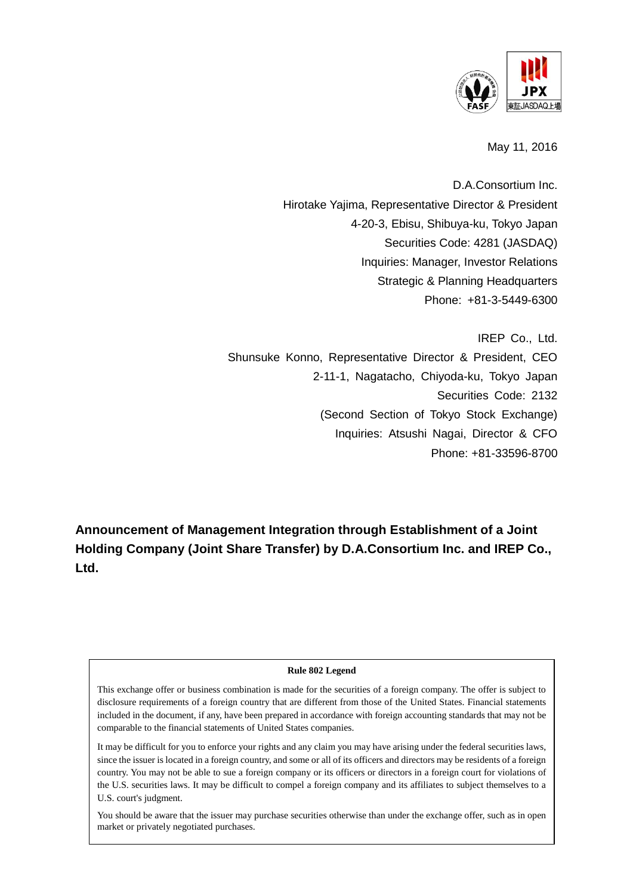

May 11, 2016

D.A.Consortium Inc. Hirotake Yajima, Representative Director & President 4-20-3, Ebisu, Shibuya-ku, Tokyo Japan Securities Code: 4281 (JASDAQ) Inquiries: Manager, Investor Relations Strategic & Planning Headquarters Phone: +81-3-5449-6300

IREP Co., Ltd. Shunsuke Konno, Representative Director & President, CEO 2-11-1, Nagatacho, Chiyoda-ku, Tokyo Japan Securities Code: 2132 (Second Section of Tokyo Stock Exchange) Inquiries: Atsushi Nagai, Director & CFO Phone: +81-33596-8700

**Announcement of Management Integration through Establishment of a Joint Holding Company (Joint Share Transfer) by D.A.Consortium Inc. and IREP Co., Ltd.** 

#### **Rule 802 Legend**

This exchange offer or business combination is made for the securities of a foreign company. The offer is subject to disclosure requirements of a foreign country that are different from those of the United States. Financial statements included in the document, if any, have been prepared in accordance with foreign accounting standards that may not be comparable to the financial statements of United States companies.

It may be difficult for you to enforce your rights and any claim you may have arising under the federal securities laws, since the issuer is located in a foreign country, and some or all of its officers and directors may be residents of a foreign country. You may not be able to sue a foreign company or its officers or directors in a foreign court for violations of the U.S. securities laws. It may be difficult to compel a foreign company and its affiliates to subject themselves to a U.S. court's judgment.

You should be aware that the issuer may purchase securities otherwise than under the exchange offer, such as in open market or privately negotiated purchases.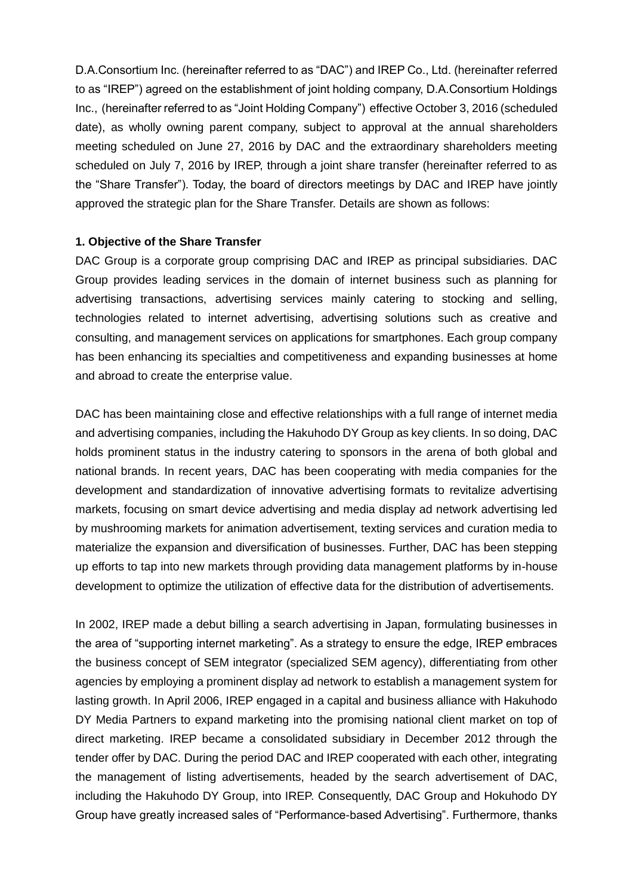D.A.Consortium Inc. (hereinafter referred to as "DAC") and IREP Co., Ltd. (hereinafter referred to as "IREP") agreed on the establishment of joint holding company, D.A.Consortium Holdings Inc., (hereinafter referred to as "Joint Holding Company") effective October 3, 2016 (scheduled date), as wholly owning parent company, subject to approval at the annual shareholders meeting scheduled on June 27, 2016 by DAC and the extraordinary shareholders meeting scheduled on July 7, 2016 by IREP, through a joint share transfer (hereinafter referred to as the "Share Transfer"). Today, the board of directors meetings by DAC and IREP have jointly approved the strategic plan for the Share Transfer. Details are shown as follows:

#### **1. Objective of the Share Transfer**

DAC Group is a corporate group comprising DAC and IREP as principal subsidiaries. DAC Group provides leading services in the domain of internet business such as planning for advertising transactions, advertising services mainly catering to stocking and selling, technologies related to internet advertising, advertising solutions such as creative and consulting, and management services on applications for smartphones. Each group company has been enhancing its specialties and competitiveness and expanding businesses at home and abroad to create the enterprise value.

DAC has been maintaining close and effective relationships with a full range of internet media and advertising companies, including the Hakuhodo DY Group as key clients. In so doing, DAC holds prominent status in the industry catering to sponsors in the arena of both global and national brands. In recent years, DAC has been cooperating with media companies for the development and standardization of innovative advertising formats to revitalize advertising markets, focusing on smart device advertising and media display ad network advertising led by mushrooming markets for animation advertisement, texting services and curation media to materialize the expansion and diversification of businesses. Further, DAC has been stepping up efforts to tap into new markets through providing data management platforms by in-house development to optimize the utilization of effective data for the distribution of advertisements.

In 2002, IREP made a debut billing a search advertising in Japan, formulating businesses in the area of "supporting internet marketing". As a strategy to ensure the edge, IREP embraces the business concept of SEM integrator (specialized SEM agency), differentiating from other agencies by employing a prominent display ad network to establish a management system for lasting growth. In April 2006, IREP engaged in a capital and business alliance with Hakuhodo DY Media Partners to expand marketing into the promising national client market on top of direct marketing. IREP became a consolidated subsidiary in December 2012 through the tender offer by DAC. During the period DAC and IREP cooperated with each other, integrating the management of listing advertisements, headed by the search advertisement of DAC, including the Hakuhodo DY Group, into IREP. Consequently, DAC Group and Hokuhodo DY Group have greatly increased sales of "Performance-based Advertising". Furthermore, thanks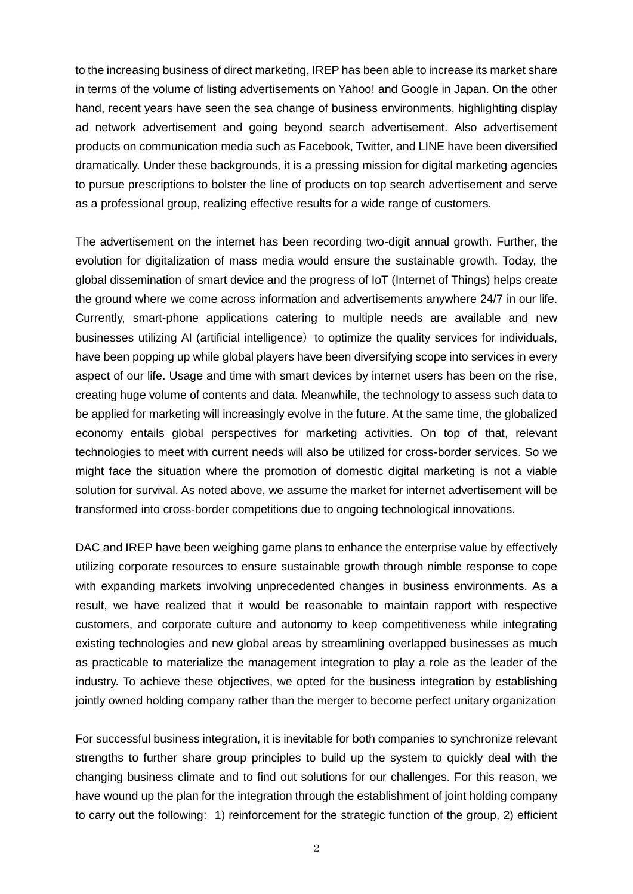to the increasing business of direct marketing, IREP has been able to increase its market share in terms of the volume of listing advertisements on Yahoo! and Google in Japan. On the other hand, recent years have seen the sea change of business environments, highlighting display ad network advertisement and going beyond search advertisement. Also advertisement products on communication media such as Facebook, Twitter, and LINE have been diversified dramatically. Under these backgrounds, it is a pressing mission for digital marketing agencies to pursue prescriptions to bolster the line of products on top search advertisement and serve as a professional group, realizing effective results for a wide range of customers.

The advertisement on the internet has been recording two-digit annual growth. Further, the evolution for digitalization of mass media would ensure the sustainable growth. Today, the global dissemination of smart device and the progress of IoT (Internet of Things) helps create the ground where we come across information and advertisements anywhere 24/7 in our life. Currently, smart-phone applications catering to multiple needs are available and new businesses utilizing AI (artificial intelligence) to optimize the quality services for individuals, have been popping up while global players have been diversifying scope into services in every aspect of our life. Usage and time with smart devices by internet users has been on the rise, creating huge volume of contents and data. Meanwhile, the technology to assess such data to be applied for marketing will increasingly evolve in the future. At the same time, the globalized economy entails global perspectives for marketing activities. On top of that, relevant technologies to meet with current needs will also be utilized for cross-border services. So we might face the situation where the promotion of domestic digital marketing is not a viable solution for survival. As noted above, we assume the market for internet advertisement will be transformed into cross-border competitions due to ongoing technological innovations.

DAC and IREP have been weighing game plans to enhance the enterprise value by effectively utilizing corporate resources to ensure sustainable growth through nimble response to cope with expanding markets involving unprecedented changes in business environments. As a result, we have realized that it would be reasonable to maintain rapport with respective customers, and corporate culture and autonomy to keep competitiveness while integrating existing technologies and new global areas by streamlining overlapped businesses as much as practicable to materialize the management integration to play a role as the leader of the industry. To achieve these objectives, we opted for the business integration by establishing jointly owned holding company rather than the merger to become perfect unitary organization

For successful business integration, it is inevitable for both companies to synchronize relevant strengths to further share group principles to build up the system to quickly deal with the changing business climate and to find out solutions for our challenges. For this reason, we have wound up the plan for the integration through the establishment of joint holding company to carry out the following: 1) reinforcement for the strategic function of the group, 2) efficient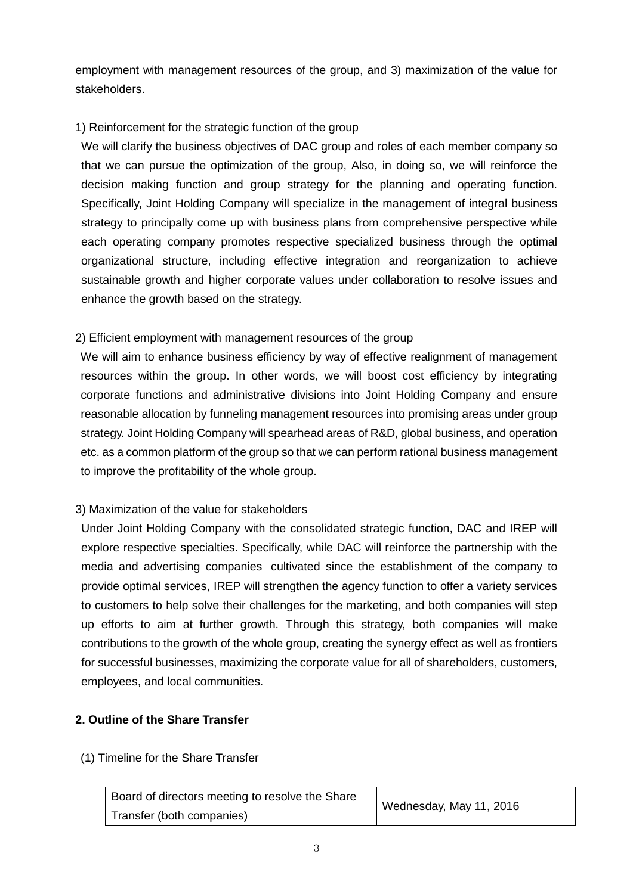employment with management resources of the group, and 3) maximization of the value for stakeholders.

## 1) Reinforcement for the strategic function of the group

We will clarify the business objectives of DAC group and roles of each member company so that we can pursue the optimization of the group, Also, in doing so, we will reinforce the decision making function and group strategy for the planning and operating function. Specifically, Joint Holding Company will specialize in the management of integral business strategy to principally come up with business plans from comprehensive perspective while each operating company promotes respective specialized business through the optimal organizational structure, including effective integration and reorganization to achieve sustainable growth and higher corporate values under collaboration to resolve issues and enhance the growth based on the strategy.

## 2) Efficient employment with management resources of the group

We will aim to enhance business efficiency by way of effective realignment of management resources within the group. In other words, we will boost cost efficiency by integrating corporate functions and administrative divisions into Joint Holding Company and ensure reasonable allocation by funneling management resources into promising areas under group strategy. Joint Holding Company will spearhead areas of R&D, global business, and operation etc. as a common platform of the group so that we can perform rational business management to improve the profitability of the whole group.

# 3) Maximization of the value for stakeholders

Under Joint Holding Company with the consolidated strategic function, DAC and IREP will explore respective specialties. Specifically, while DAC will reinforce the partnership with the media and advertising companies cultivated since the establishment of the company to provide optimal services, IREP will strengthen the agency function to offer a variety services to customers to help solve their challenges for the marketing, and both companies will step up efforts to aim at further growth. Through this strategy, both companies will make contributions to the growth of the whole group, creating the synergy effect as well as frontiers for successful businesses, maximizing the corporate value for all of shareholders, customers, employees, and local communities.

## **2. Outline of the Share Transfer**

## (1) Timeline for the Share Transfer

| Board of directors meeting to resolve the Share | Wednesday, May 11, 2016 |
|-------------------------------------------------|-------------------------|
| Transfer (both companies)                       |                         |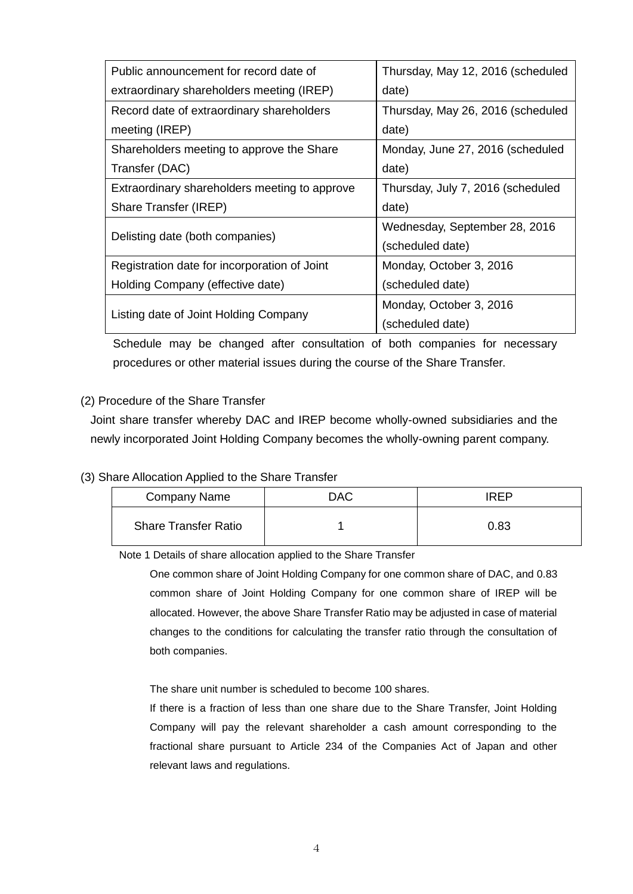| Public announcement for record date of        | Thursday, May 12, 2016 (scheduled |  |
|-----------------------------------------------|-----------------------------------|--|
| extraordinary shareholders meeting (IREP)     | date)                             |  |
| Record date of extraordinary shareholders     | Thursday, May 26, 2016 (scheduled |  |
| meeting (IREP)                                | date)                             |  |
| Shareholders meeting to approve the Share     | Monday, June 27, 2016 (scheduled  |  |
| Transfer (DAC)                                | date)                             |  |
| Extraordinary shareholders meeting to approve | Thursday, July 7, 2016 (scheduled |  |
| Share Transfer (IREP)                         | date)                             |  |
|                                               | Wednesday, September 28, 2016     |  |
| Delisting date (both companies)               | (scheduled date)                  |  |
| Registration date for incorporation of Joint  | Monday, October 3, 2016           |  |
| Holding Company (effective date)              | (scheduled date)                  |  |
|                                               | Monday, October 3, 2016           |  |
| Listing date of Joint Holding Company         | (scheduled date)                  |  |

Schedule may be changed after consultation of both companies for necessary procedures or other material issues during the course of the Share Transfer.

## (2) Procedure of the Share Transfer

Joint share transfer whereby DAC and IREP become wholly-owned subsidiaries and the newly incorporated Joint Holding Company becomes the wholly-owning parent company.

### (3) Share Allocation Applied to the Share Transfer

| Company Name                | <b>DAC</b> | <b>IRFP</b> |
|-----------------------------|------------|-------------|
| <b>Share Transfer Ratio</b> |            | 0.83        |

Note 1 Details of share allocation applied to the Share Transfer

 One common share of Joint Holding Company for one common share of DAC, and 0.83 common share of Joint Holding Company for one common share of IREP will be allocated. However, the above Share Transfer Ratio may be adjusted in case of material changes to the conditions for calculating the transfer ratio through the consultation of both companies.

The share unit number is scheduled to become 100 shares.

If there is a fraction of less than one share due to the Share Transfer, Joint Holding Company will pay the relevant shareholder a cash amount corresponding to the fractional share pursuant to Article 234 of the Companies Act of Japan and other relevant laws and regulations.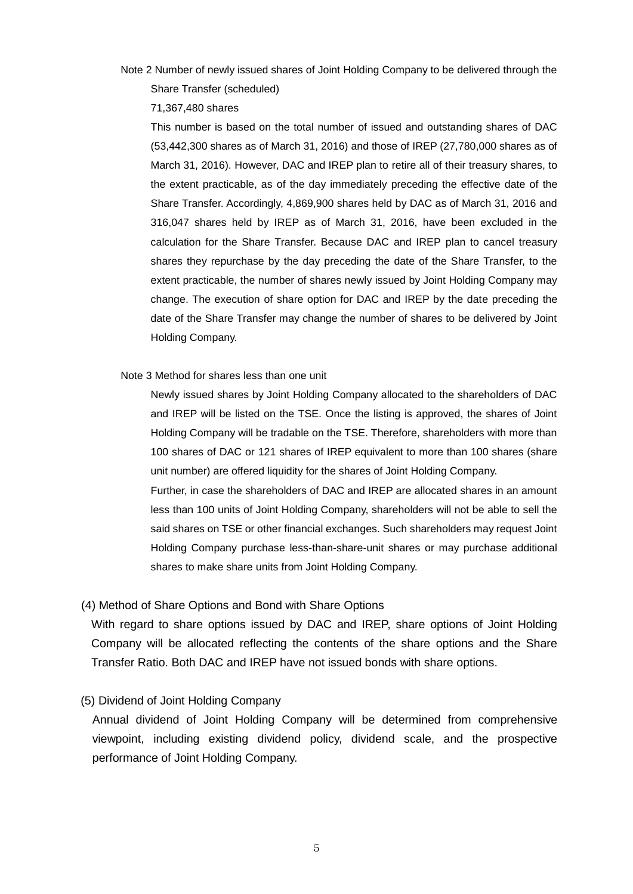Note 2 Number of newly issued shares of Joint Holding Company to be delivered through the Share Transfer (scheduled)

71,367,480 shares

This number is based on the total number of issued and outstanding shares of DAC (53,442,300 shares as of March 31, 2016) and those of IREP (27,780,000 shares as of March 31, 2016). However, DAC and IREP plan to retire all of their treasury shares, to the extent practicable, as of the day immediately preceding the effective date of the Share Transfer. Accordingly, 4,869,900 shares held by DAC as of March 31, 2016 and 316,047 shares held by IREP as of March 31, 2016, have been excluded in the calculation for the Share Transfer. Because DAC and IREP plan to cancel treasury shares they repurchase by the day preceding the date of the Share Transfer, to the extent practicable, the number of shares newly issued by Joint Holding Company may change. The execution of share option for DAC and IREP by the date preceding the date of the Share Transfer may change the number of shares to be delivered by Joint Holding Company.

Note 3 Method for shares less than one unit

Newly issued shares by Joint Holding Company allocated to the shareholders of DAC and IREP will be listed on the TSE. Once the listing is approved, the shares of Joint Holding Company will be tradable on the TSE. Therefore, shareholders with more than 100 shares of DAC or 121 shares of IREP equivalent to more than 100 shares (share unit number) are offered liquidity for the shares of Joint Holding Company.

Further, in case the shareholders of DAC and IREP are allocated shares in an amount less than 100 units of Joint Holding Company, shareholders will not be able to sell the said shares on TSE or other financial exchanges. Such shareholders may request Joint Holding Company purchase less-than-share-unit shares or may purchase additional shares to make share units from Joint Holding Company.

#### (4) Method of Share Options and Bond with Share Options

With regard to share options issued by DAC and IREP, share options of Joint Holding Company will be allocated reflecting the contents of the share options and the Share Transfer Ratio. Both DAC and IREP have not issued bonds with share options.

### (5) Dividend of Joint Holding Company

Annual dividend of Joint Holding Company will be determined from comprehensive viewpoint, including existing dividend policy, dividend scale, and the prospective performance of Joint Holding Company.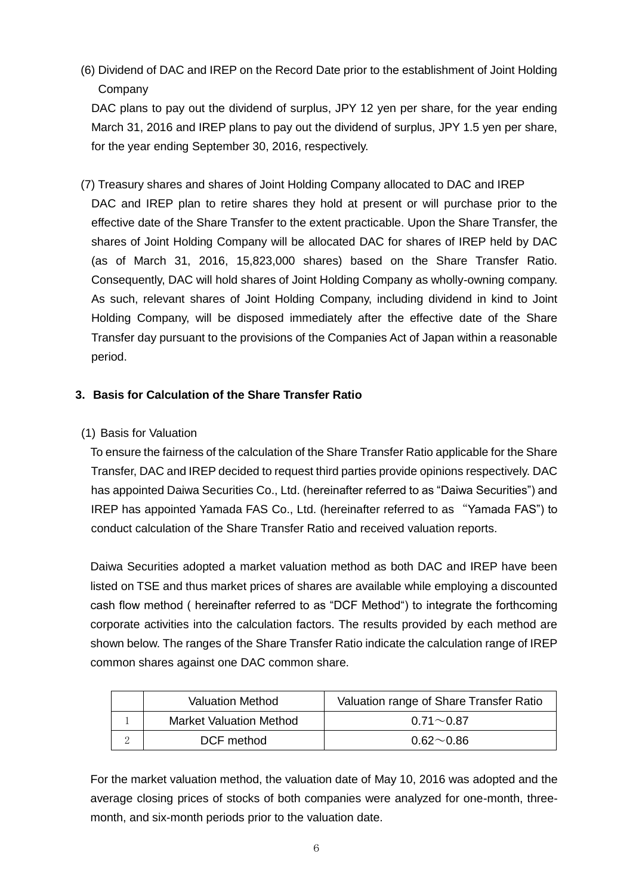(6) Dividend of DAC and IREP on the Record Date prior to the establishment of Joint Holding **Company** 

DAC plans to pay out the dividend of surplus, JPY 12 yen per share, for the year ending March 31, 2016 and IREP plans to pay out the dividend of surplus, JPY 1.5 yen per share, for the year ending September 30, 2016, respectively.

(7) Treasury shares and shares of Joint Holding Company allocated to DAC and IREP DAC and IREP plan to retire shares they hold at present or will purchase prior to the effective date of the Share Transfer to the extent practicable. Upon the Share Transfer, the shares of Joint Holding Company will be allocated DAC for shares of IREP held by DAC (as of March 31, 2016, 15,823,000 shares) based on the Share Transfer Ratio. Consequently, DAC will hold shares of Joint Holding Company as wholly-owning company. As such, relevant shares of Joint Holding Company, including dividend in kind to Joint Holding Company, will be disposed immediately after the effective date of the Share Transfer day pursuant to the provisions of the Companies Act of Japan within a reasonable period.

# **3. Basis for Calculation of the Share Transfer Ratio**

(1) Basis for Valuation

To ensure the fairness of the calculation of the Share Transfer Ratio applicable for the Share Transfer, DAC and IREP decided to request third parties provide opinions respectively. DAC has appointed Daiwa Securities Co., Ltd. (hereinafter referred to as "Daiwa Securities") and IREP has appointed Yamada FAS Co., Ltd. (hereinafter referred to as "Yamada FAS") to conduct calculation of the Share Transfer Ratio and received valuation reports.

Daiwa Securities adopted a market valuation method as both DAC and IREP have been listed on TSE and thus market prices of shares are available while employing a discounted cash flow method ( hereinafter referred to as "DCF Method") to integrate the forthcoming corporate activities into the calculation factors. The results provided by each method are shown below. The ranges of the Share Transfer Ratio indicate the calculation range of IREP common shares against one DAC common share.

| <b>Valuation Method</b> |                                | Valuation range of Share Transfer Ratio            |  |  |
|-------------------------|--------------------------------|----------------------------------------------------|--|--|
|                         | <b>Market Valuation Method</b> | $0.71 \sim 0.87$                                   |  |  |
|                         | DCF method                     | $0.62\negthinspace\negthinspace\negthinspace 0.86$ |  |  |

For the market valuation method, the valuation date of May 10, 2016 was adopted and the average closing prices of stocks of both companies were analyzed for one-month, threemonth, and six-month periods prior to the valuation date.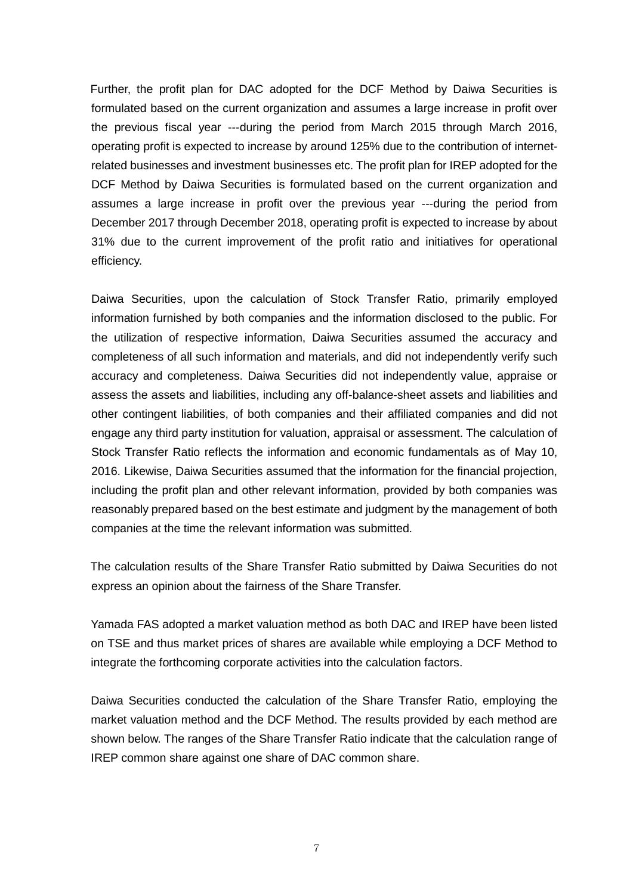Further, the profit plan for DAC adopted for the DCF Method by Daiwa Securities is formulated based on the current organization and assumes a large increase in profit over the previous fiscal year ---during the period from March 2015 through March 2016, operating profit is expected to increase by around 125% due to the contribution of internetrelated businesses and investment businesses etc. The profit plan for IREP adopted for the DCF Method by Daiwa Securities is formulated based on the current organization and assumes a large increase in profit over the previous year ---during the period from December 2017 through December 2018, operating profit is expected to increase by about 31% due to the current improvement of the profit ratio and initiatives for operational efficiency.

Daiwa Securities, upon the calculation of Stock Transfer Ratio, primarily employed information furnished by both companies and the information disclosed to the public. For the utilization of respective information, Daiwa Securities assumed the accuracy and completeness of all such information and materials, and did not independently verify such accuracy and completeness. Daiwa Securities did not independently value, appraise or assess the assets and liabilities, including any off-balance-sheet assets and liabilities and other contingent liabilities, of both companies and their affiliated companies and did not engage any third party institution for valuation, appraisal or assessment. The calculation of Stock Transfer Ratio reflects the information and economic fundamentals as of May 10, 2016. Likewise, Daiwa Securities assumed that the information for the financial projection, including the profit plan and other relevant information, provided by both companies was reasonably prepared based on the best estimate and judgment by the management of both companies at the time the relevant information was submitted.

The calculation results of the Share Transfer Ratio submitted by Daiwa Securities do not express an opinion about the fairness of the Share Transfer.

Yamada FAS adopted a market valuation method as both DAC and IREP have been listed on TSE and thus market prices of shares are available while employing a DCF Method to integrate the forthcoming corporate activities into the calculation factors.

Daiwa Securities conducted the calculation of the Share Transfer Ratio, employing the market valuation method and the DCF Method. The results provided by each method are shown below. The ranges of the Share Transfer Ratio indicate that the calculation range of IREP common share against one share of DAC common share.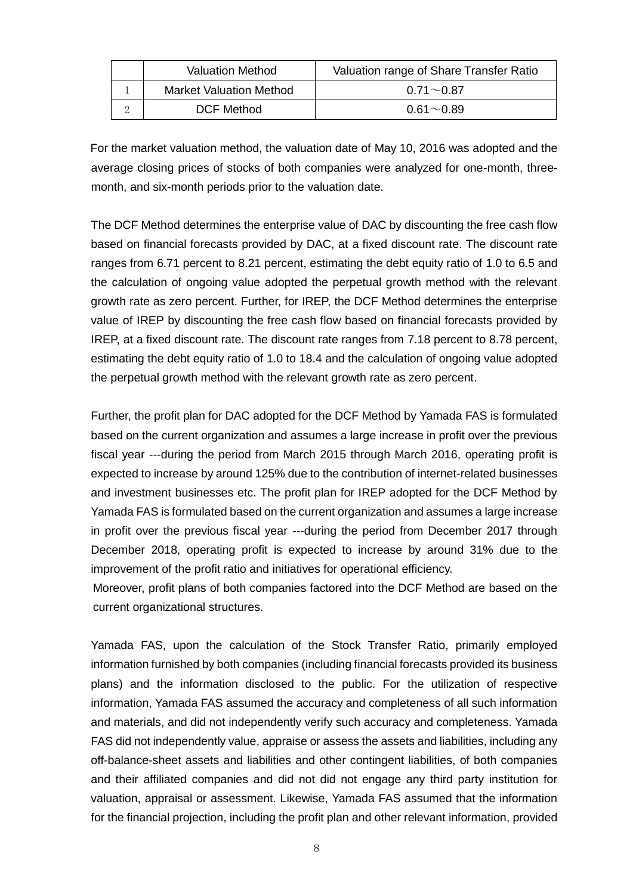| <b>Valuation Method</b> |                                | Valuation range of Share Transfer Ratio |  |  |
|-------------------------|--------------------------------|-----------------------------------------|--|--|
|                         | <b>Market Valuation Method</b> | $0.71 \sim 0.87$                        |  |  |
|                         | <b>DCF Method</b>              | $0.61\sim 0.89$                         |  |  |

For the market valuation method, the valuation date of May 10, 2016 was adopted and the average closing prices of stocks of both companies were analyzed for one-month, threemonth, and six-month periods prior to the valuation date.

The DCF Method determines the enterprise value of DAC by discounting the free cash flow based on financial forecasts provided by DAC, at a fixed discount rate. The discount rate ranges from 6.71 percent to 8.21 percent, estimating the debt equity ratio of 1.0 to 6.5 and the calculation of ongoing value adopted the perpetual growth method with the relevant growth rate as zero percent. Further, for IREP, the DCF Method determines the enterprise value of IREP by discounting the free cash flow based on financial forecasts provided by IREP, at a fixed discount rate. The discount rate ranges from 7.18 percent to 8.78 percent, estimating the debt equity ratio of 1.0 to 18.4 and the calculation of ongoing value adopted the perpetual growth method with the relevant growth rate as zero percent.

Further, the profit plan for DAC adopted for the DCF Method by Yamada FAS is formulated based on the current organization and assumes a large increase in profit over the previous fiscal year ---during the period from March 2015 through March 2016, operating profit is expected to increase by around 125% due to the contribution of internet-related businesses and investment businesses etc. The profit plan for IREP adopted for the DCF Method by Yamada FAS is formulated based on the current organization and assumes a large increase in profit over the previous fiscal year ---during the period from December 2017 through December 2018, operating profit is expected to increase by around 31% due to the improvement of the profit ratio and initiatives for operational efficiency.

 Moreover, profit plans of both companies factored into the DCF Method are based on the current organizational structures.

Yamada FAS, upon the calculation of the Stock Transfer Ratio, primarily employed information furnished by both companies (including financial forecasts provided its business plans) and the information disclosed to the public. For the utilization of respective information, Yamada FAS assumed the accuracy and completeness of all such information and materials, and did not independently verify such accuracy and completeness. Yamada FAS did not independently value, appraise or assess the assets and liabilities, including any off-balance-sheet assets and liabilities and other contingent liabilities, of both companies and their affiliated companies and did not did not engage any third party institution for valuation, appraisal or assessment. Likewise, Yamada FAS assumed that the information for the financial projection, including the profit plan and other relevant information, provided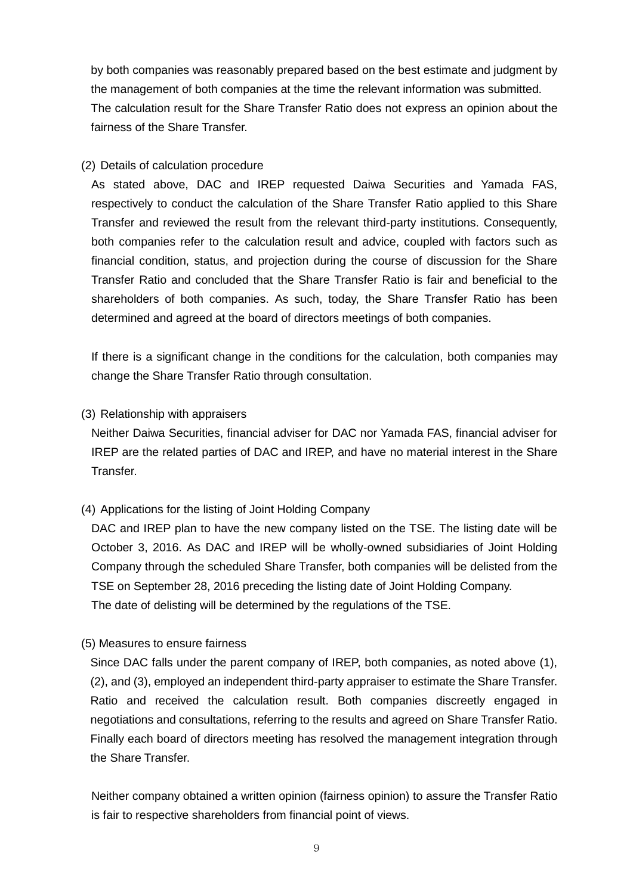by both companies was reasonably prepared based on the best estimate and judgment by the management of both companies at the time the relevant information was submitted. The calculation result for the Share Transfer Ratio does not express an opinion about the fairness of the Share Transfer.

### (2) Details of calculation procedure

As stated above, DAC and IREP requested Daiwa Securities and Yamada FAS, respectively to conduct the calculation of the Share Transfer Ratio applied to this Share Transfer and reviewed the result from the relevant third-party institutions. Consequently, both companies refer to the calculation result and advice, coupled with factors such as financial condition, status, and projection during the course of discussion for the Share Transfer Ratio and concluded that the Share Transfer Ratio is fair and beneficial to the shareholders of both companies. As such, today, the Share Transfer Ratio has been determined and agreed at the board of directors meetings of both companies.

If there is a significant change in the conditions for the calculation, both companies may change the Share Transfer Ratio through consultation.

### (3) Relationship with appraisers

Neither Daiwa Securities, financial adviser for DAC nor Yamada FAS, financial adviser for IREP are the related parties of DAC and IREP, and have no material interest in the Share Transfer.

(4) Applications for the listing of Joint Holding Company

DAC and IREP plan to have the new company listed on the TSE. The listing date will be October 3, 2016. As DAC and IREP will be wholly-owned subsidiaries of Joint Holding Company through the scheduled Share Transfer, both companies will be delisted from the TSE on September 28, 2016 preceding the listing date of Joint Holding Company. The date of delisting will be determined by the regulations of the TSE.

(5) Measures to ensure fairness

Since DAC falls under the parent company of IREP, both companies, as noted above (1), (2), and (3), employed an independent third-party appraiser to estimate the Share Transfer. Ratio and received the calculation result. Both companies discreetly engaged in negotiations and consultations, referring to the results and agreed on Share Transfer Ratio. Finally each board of directors meeting has resolved the management integration through the Share Transfer.

Neither company obtained a written opinion (fairness opinion) to assure the Transfer Ratio is fair to respective shareholders from financial point of views.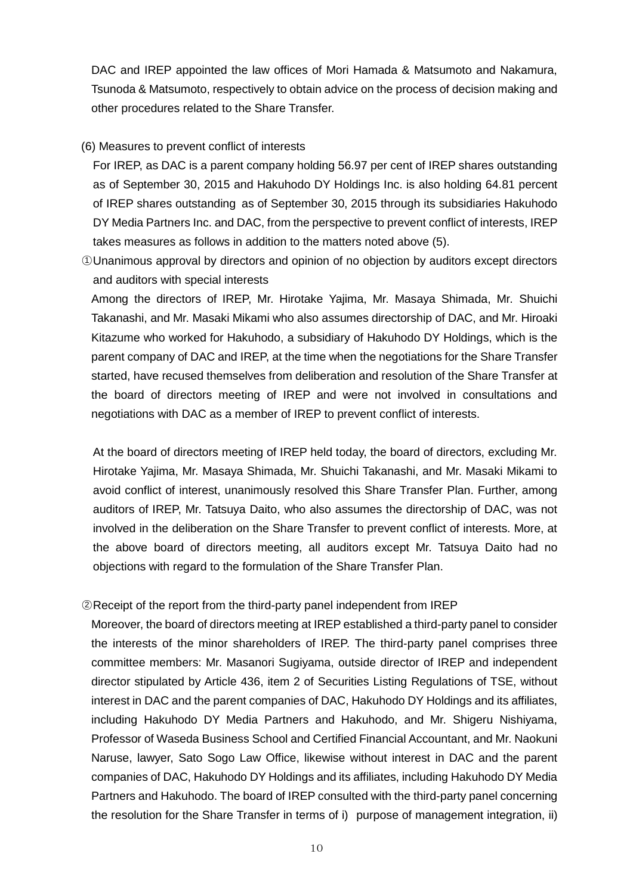DAC and IREP appointed the law offices of Mori Hamada & Matsumoto and Nakamura, Tsunoda & Matsumoto, respectively to obtain advice on the process of decision making and other procedures related to the Share Transfer.

### (6) Measures to prevent conflict of interests

 For IREP, as DAC is a parent company holding 56.97 per cent of IREP shares outstanding as of September 30, 2015 and Hakuhodo DY Holdings Inc. is also holding 64.81 percent of IREP shares outstanding as of September 30, 2015 through its subsidiaries Hakuhodo DY Media Partners Inc. and DAC, from the perspective to prevent conflict of interests, IREP takes measures as follows in addition to the matters noted above (5).

○<sup>1</sup> Unanimous approval by directors and opinion of no objection by auditors except directors and auditors with special interests

Among the directors of IREP, Mr. Hirotake Yajima, Mr. Masaya Shimada, Mr. Shuichi Takanashi, and Mr. Masaki Mikami who also assumes directorship of DAC, and Mr. Hiroaki Kitazume who worked for Hakuhodo, a subsidiary of Hakuhodo DY Holdings, which is the parent company of DAC and IREP, at the time when the negotiations for the Share Transfer started, have recused themselves from deliberation and resolution of the Share Transfer at the board of directors meeting of IREP and were not involved in consultations and negotiations with DAC as a member of IREP to prevent conflict of interests.

 At the board of directors meeting of IREP held today, the board of directors, excluding Mr. Hirotake Yajima, Mr. Masaya Shimada, Mr. Shuichi Takanashi, and Mr. Masaki Mikami to avoid conflict of interest, unanimously resolved this Share Transfer Plan. Further, among auditors of IREP, Mr. Tatsuya Daito, who also assumes the directorship of DAC, was not involved in the deliberation on the Share Transfer to prevent conflict of interests. More, at the above board of directors meeting, all auditors except Mr. Tatsuya Daito had no objections with regard to the formulation of the Share Transfer Plan.

#### ○<sup>2</sup> Receipt of the report from the third-party panel independent from IREP

Moreover, the board of directors meeting at IREP established a third-party panel to consider the interests of the minor shareholders of IREP. The third-party panel comprises three committee members: Mr. Masanori Sugiyama, outside director of IREP and independent director stipulated by Article 436, item 2 of Securities Listing Regulations of TSE, without interest in DAC and the parent companies of DAC, Hakuhodo DY Holdings and its affiliates, including Hakuhodo DY Media Partners and Hakuhodo, and Mr. Shigeru Nishiyama, Professor of Waseda Business School and Certified Financial Accountant, and Mr. Naokuni Naruse, lawyer, Sato Sogo Law Office, likewise without interest in DAC and the parent companies of DAC, Hakuhodo DY Holdings and its affiliates, including Hakuhodo DY Media Partners and Hakuhodo. The board of IREP consulted with the third-party panel concerning the resolution for the Share Transfer in terms of i) purpose of management integration, ii)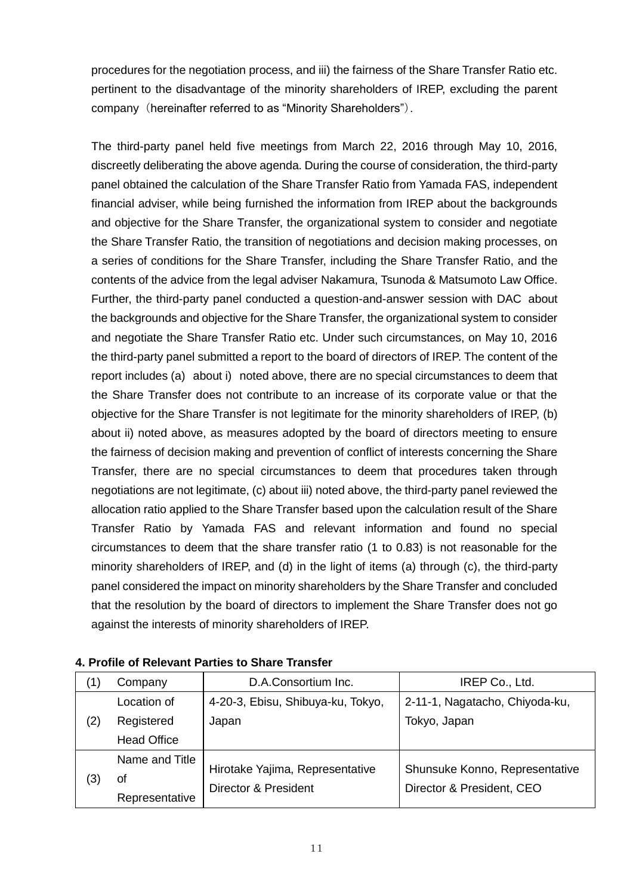procedures for the negotiation process, and iii) the fairness of the Share Transfer Ratio etc. pertinent to the disadvantage of the minority shareholders of IREP, excluding the parent company (hereinafter referred to as "Minority Shareholders").

The third-party panel held five meetings from March 22, 2016 through May 10, 2016, discreetly deliberating the above agenda. During the course of consideration, the third-party panel obtained the calculation of the Share Transfer Ratio from Yamada FAS, independent financial adviser, while being furnished the information from IREP about the backgrounds and objective for the Share Transfer, the organizational system to consider and negotiate the Share Transfer Ratio, the transition of negotiations and decision making processes, on a series of conditions for the Share Transfer, including the Share Transfer Ratio, and the contents of the advice from the legal adviser Nakamura, Tsunoda & Matsumoto Law Office. Further, the third-party panel conducted a question-and-answer session with DAC about the backgrounds and objective for the Share Transfer, the organizational system to consider and negotiate the Share Transfer Ratio etc. Under such circumstances, on May 10, 2016 the third-party panel submitted a report to the board of directors of IREP. The content of the report includes (a) about i) noted above, there are no special circumstances to deem that the Share Transfer does not contribute to an increase of its corporate value or that the objective for the Share Transfer is not legitimate for the minority shareholders of IREP, (b) about ii) noted above, as measures adopted by the board of directors meeting to ensure the fairness of decision making and prevention of conflict of interests concerning the Share Transfer, there are no special circumstances to deem that procedures taken through negotiations are not legitimate, (c) about iii) noted above, the third-party panel reviewed the allocation ratio applied to the Share Transfer based upon the calculation result of the Share Transfer Ratio by Yamada FAS and relevant information and found no special circumstances to deem that the share transfer ratio (1 to 0.83) is not reasonable for the minority shareholders of IREP, and (d) in the light of items (a) through (c), the third-party panel considered the impact on minority shareholders by the Share Transfer and concluded that the resolution by the board of directors to implement the Share Transfer does not go against the interests of minority shareholders of IREP.

| 〔1〕         | Company            | D.A.Consortium Inc.               | IREP Co., Ltd.                 |  |
|-------------|--------------------|-----------------------------------|--------------------------------|--|
| Location of |                    | 4-20-3, Ebisu, Shibuya-ku, Tokyo, | 2-11-1, Nagatacho, Chiyoda-ku, |  |
| (2)         | Registered         | Japan                             | Tokyo, Japan                   |  |
|             | <b>Head Office</b> |                                   |                                |  |
|             | Name and Title     |                                   |                                |  |
| (3)         | οt                 | Hirotake Yajima, Representative   | Shunsuke Konno, Representative |  |
|             | Representative     | Director & President              | Director & President, CEO      |  |

**4. Profile of Relevant Parties to Share Transfer**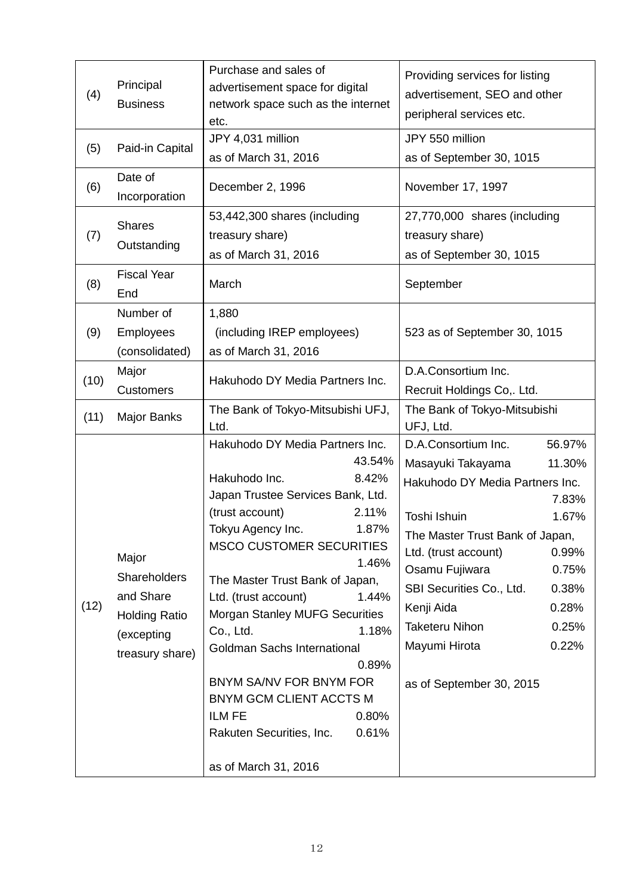| (4)  | Principal<br><b>Business</b>                                                                | Purchase and sales of<br>advertisement space for digital<br>network space such as the internet<br>etc.                                                                                                                                                                                                                                                                                                                                                                                                                          | Providing services for listing<br>advertisement, SEO and other<br>peripheral services etc.                                                                                                                                                                                                                                                                                           |  |
|------|---------------------------------------------------------------------------------------------|---------------------------------------------------------------------------------------------------------------------------------------------------------------------------------------------------------------------------------------------------------------------------------------------------------------------------------------------------------------------------------------------------------------------------------------------------------------------------------------------------------------------------------|--------------------------------------------------------------------------------------------------------------------------------------------------------------------------------------------------------------------------------------------------------------------------------------------------------------------------------------------------------------------------------------|--|
| (5)  | Paid-in Capital                                                                             | JPY 4,031 million<br>as of March 31, 2016                                                                                                                                                                                                                                                                                                                                                                                                                                                                                       | JPY 550 million<br>as of September 30, 1015                                                                                                                                                                                                                                                                                                                                          |  |
| (6)  | Date of<br>Incorporation                                                                    | December 2, 1996                                                                                                                                                                                                                                                                                                                                                                                                                                                                                                                | November 17, 1997                                                                                                                                                                                                                                                                                                                                                                    |  |
| (7)  | <b>Shares</b><br>Outstanding                                                                | 53,442,300 shares (including<br>treasury share)<br>as of March 31, 2016                                                                                                                                                                                                                                                                                                                                                                                                                                                         | 27,770,000 shares (including<br>treasury share)<br>as of September 30, 1015                                                                                                                                                                                                                                                                                                          |  |
| (8)  | <b>Fiscal Year</b><br>End                                                                   | March                                                                                                                                                                                                                                                                                                                                                                                                                                                                                                                           | September                                                                                                                                                                                                                                                                                                                                                                            |  |
| (9)  | Number of<br>Employees<br>(consolidated)                                                    | 1,880<br>(including IREP employees)<br>as of March 31, 2016                                                                                                                                                                                                                                                                                                                                                                                                                                                                     | 523 as of September 30, 1015                                                                                                                                                                                                                                                                                                                                                         |  |
| (10) | Major<br><b>Customers</b>                                                                   | Hakuhodo DY Media Partners Inc.                                                                                                                                                                                                                                                                                                                                                                                                                                                                                                 | D.A.Consortium Inc.<br>Recruit Holdings Co,. Ltd.                                                                                                                                                                                                                                                                                                                                    |  |
| (11) | <b>Major Banks</b>                                                                          | The Bank of Tokyo-Mitsubishi UFJ,<br>Ltd.                                                                                                                                                                                                                                                                                                                                                                                                                                                                                       | The Bank of Tokyo-Mitsubishi<br>UFJ, Ltd.                                                                                                                                                                                                                                                                                                                                            |  |
| (12) | Major<br>Shareholders<br>and Share<br><b>Holding Ratio</b><br>(excepting<br>treasury share) | Hakuhodo DY Media Partners Inc.<br>43.54%<br>Hakuhodo Inc.<br>8.42%<br>Japan Trustee Services Bank, Ltd.<br>(trust account)<br>2.11%<br>Tokyu Agency Inc.<br>1.87%<br><b>MSCO CUSTOMER SECURITIES</b><br>1.46%<br>The Master Trust Bank of Japan,<br>Ltd. (trust account)<br>1.44%<br><b>Morgan Stanley MUFG Securities</b><br>1.18%<br>Co., Ltd.<br>Goldman Sachs International<br>0.89%<br>BNYM SA/NV FOR BNYM FOR<br>BNYM GCM CLIENT ACCTS M<br>ILM FE<br>0.80%<br>Rakuten Securities, Inc.<br>0.61%<br>as of March 31, 2016 | D.A.Consortium Inc.<br>56.97%<br>Masayuki Takayama<br>11.30%<br>Hakuhodo DY Media Partners Inc.<br>7.83%<br>Toshi Ishuin<br>1.67%<br>The Master Trust Bank of Japan,<br>Ltd. (trust account)<br>0.99%<br>Osamu Fujiwara<br>0.75%<br>SBI Securities Co., Ltd.<br>0.38%<br>Kenji Aida<br>0.28%<br><b>Taketeru Nihon</b><br>0.25%<br>Mayumi Hirota<br>0.22%<br>as of September 30, 2015 |  |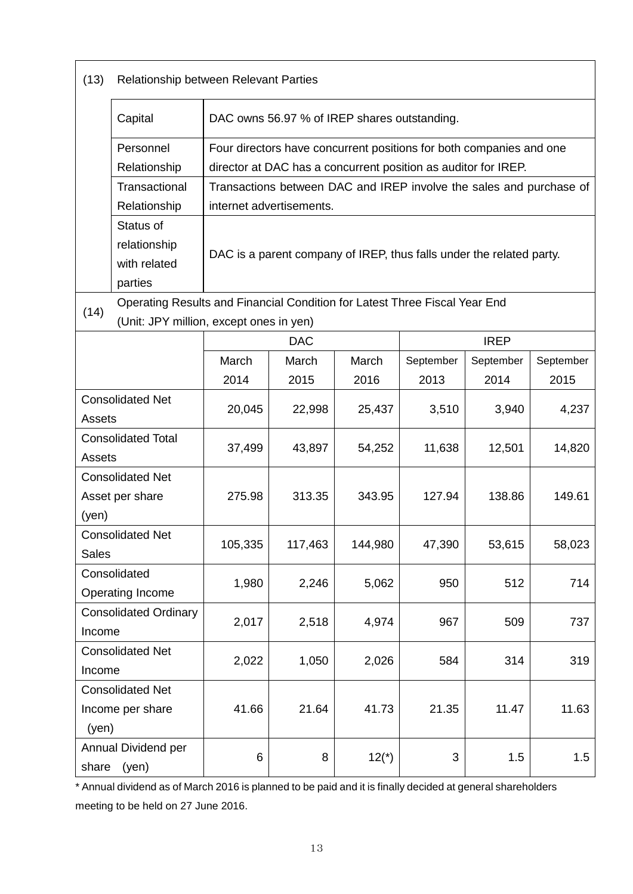| (13)                                                                      | Relationship between Relevant Parties                                                                                 |                                                |                                                                      |         |                                                                |                                                                     |           |
|---------------------------------------------------------------------------|-----------------------------------------------------------------------------------------------------------------------|------------------------------------------------|----------------------------------------------------------------------|---------|----------------------------------------------------------------|---------------------------------------------------------------------|-----------|
|                                                                           | Capital                                                                                                               | DAC owns 56.97 % of IREP shares outstanding.   |                                                                      |         |                                                                |                                                                     |           |
|                                                                           | Personnel                                                                                                             |                                                |                                                                      |         |                                                                | Four directors have concurrent positions for both companies and one |           |
|                                                                           | Relationship                                                                                                          |                                                |                                                                      |         | director at DAC has a concurrent position as auditor for IREP. |                                                                     |           |
|                                                                           | Transactional                                                                                                         |                                                |                                                                      |         |                                                                | Transactions between DAC and IREP involve the sales and purchase of |           |
|                                                                           | Relationship                                                                                                          |                                                | internet advertisements.                                             |         |                                                                |                                                                     |           |
|                                                                           | Status of<br>relationship<br>with related<br>parties                                                                  |                                                | DAC is a parent company of IREP, thus falls under the related party. |         |                                                                |                                                                     |           |
| (14)                                                                      | Operating Results and Financial Condition for Latest Three Fiscal Year End<br>(Unit: JPY million, except ones in yen) |                                                |                                                                      |         |                                                                |                                                                     |           |
|                                                                           |                                                                                                                       |                                                | <b>DAC</b>                                                           |         |                                                                | <b>IREP</b>                                                         |           |
|                                                                           |                                                                                                                       | March                                          | March                                                                | March   | September                                                      | September                                                           | September |
|                                                                           |                                                                                                                       | 2014                                           | 2015                                                                 | 2016    | 2013                                                           | 2014                                                                | 2015      |
|                                                                           | <b>Consolidated Net</b><br>20,045<br>25,437<br>3,510<br>3,940<br>22,998<br>Assets                                     |                                                |                                                                      |         |                                                                |                                                                     | 4,237     |
| Assets                                                                    | <b>Consolidated Total</b>                                                                                             | 37,499                                         | 43,897                                                               | 54,252  | 11,638                                                         | 12,501                                                              | 14,820    |
| (yen)                                                                     | <b>Consolidated Net</b><br>Asset per share                                                                            | 275.98<br>313.35<br>343.95<br>127.94<br>138.86 |                                                                      |         |                                                                |                                                                     | 149.61    |
| <b>Sales</b>                                                              | <b>Consolidated Net</b>                                                                                               | 105,335                                        | 117,463                                                              | 144,980 | 47,390                                                         | 53,615                                                              | 58,023    |
| Consolidated<br>1,980<br>2,246<br>5,062<br>950<br>512<br>Operating Income |                                                                                                                       |                                                |                                                                      |         | 714                                                            |                                                                     |           |
| <b>Consolidated Ordinary</b><br>Income                                    |                                                                                                                       | 2,017                                          | 2,518                                                                | 4,974   | 967                                                            | 509                                                                 | 737       |
| <b>Consolidated Net</b><br>Income                                         |                                                                                                                       | 2,022                                          | 1,050                                                                | 2,026   | 584                                                            | 314                                                                 | 319       |
| (yen)                                                                     | <b>Consolidated Net</b><br>Income per share                                                                           | 41.66                                          | 21.64                                                                | 41.73   | 21.35                                                          | 11.47                                                               | 11.63     |
| share                                                                     | Annual Dividend per<br>(yen)                                                                                          | $\,6$                                          | 8                                                                    | $12(*)$ | 3                                                              | 1.5                                                                 | 1.5       |

\* Annual dividend as of March 2016 is planned to be paid and it is finally decided at general shareholders meeting to be held on 27 June 2016.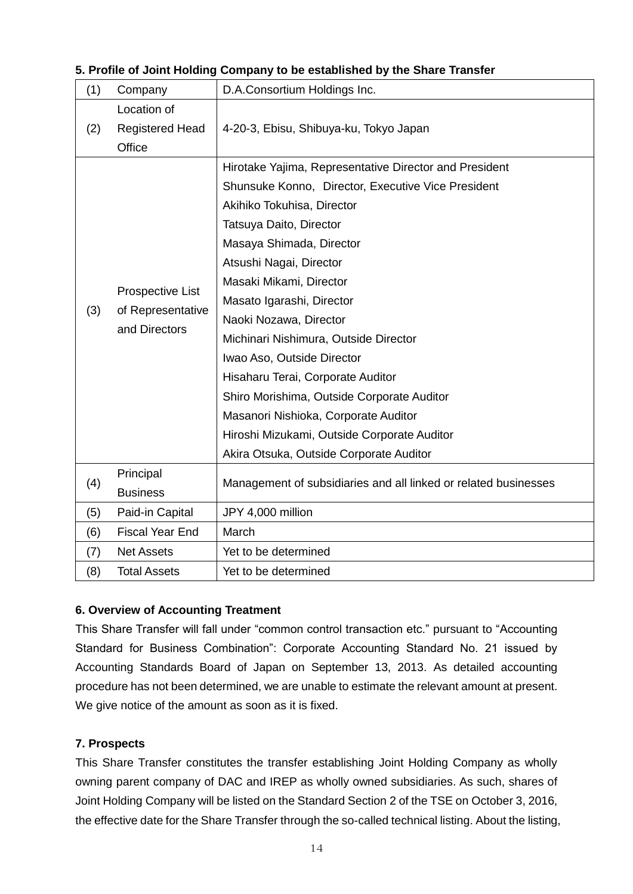| (1) | Company                                                | D.A.Consortium Holdings Inc.                                    |  |  |  |
|-----|--------------------------------------------------------|-----------------------------------------------------------------|--|--|--|
|     | Location of                                            |                                                                 |  |  |  |
| (2) | <b>Registered Head</b>                                 | 4-20-3, Ebisu, Shibuya-ku, Tokyo Japan                          |  |  |  |
|     | Office                                                 |                                                                 |  |  |  |
|     |                                                        | Hirotake Yajima, Representative Director and President          |  |  |  |
|     |                                                        | Shunsuke Konno, Director, Executive Vice President              |  |  |  |
|     |                                                        | Akihiko Tokuhisa, Director                                      |  |  |  |
|     |                                                        | Tatsuya Daito, Director                                         |  |  |  |
|     |                                                        | Masaya Shimada, Director                                        |  |  |  |
|     |                                                        | Atsushi Nagai, Director                                         |  |  |  |
|     | Prospective List<br>of Representative<br>and Directors | Masaki Mikami, Director                                         |  |  |  |
|     |                                                        | Masato Igarashi, Director                                       |  |  |  |
| (3) |                                                        | Naoki Nozawa, Director                                          |  |  |  |
|     |                                                        | Michinari Nishimura, Outside Director                           |  |  |  |
|     |                                                        | Iwao Aso, Outside Director                                      |  |  |  |
|     |                                                        | Hisaharu Terai, Corporate Auditor                               |  |  |  |
|     |                                                        | Shiro Morishima, Outside Corporate Auditor                      |  |  |  |
|     |                                                        | Masanori Nishioka, Corporate Auditor                            |  |  |  |
|     |                                                        | Hiroshi Mizukami, Outside Corporate Auditor                     |  |  |  |
|     |                                                        | Akira Otsuka, Outside Corporate Auditor                         |  |  |  |
|     | Principal                                              | Management of subsidiaries and all linked or related businesses |  |  |  |
| (4) | <b>Business</b>                                        |                                                                 |  |  |  |
| (5) | Paid-in Capital                                        | JPY 4,000 million                                               |  |  |  |
| (6) | <b>Fiscal Year End</b>                                 | March                                                           |  |  |  |
| (7) | <b>Net Assets</b>                                      | Yet to be determined                                            |  |  |  |
| (8) | <b>Total Assets</b>                                    | Yet to be determined                                            |  |  |  |

### **5. Profile of Joint Holding Company to be established by the Share Transfer**

## **6. Overview of Accounting Treatment**

This Share Transfer will fall under "common control transaction etc." pursuant to "Accounting Standard for Business Combination": Corporate Accounting Standard No. 21 issued by Accounting Standards Board of Japan on September 13, 2013. As detailed accounting procedure has not been determined, we are unable to estimate the relevant amount at present. We give notice of the amount as soon as it is fixed.

## **7. Prospects**

This Share Transfer constitutes the transfer establishing Joint Holding Company as wholly owning parent company of DAC and IREP as wholly owned subsidiaries. As such, shares of Joint Holding Company will be listed on the Standard Section 2 of the TSE on October 3, 2016, the effective date for the Share Transfer through the so-called technical listing. About the listing,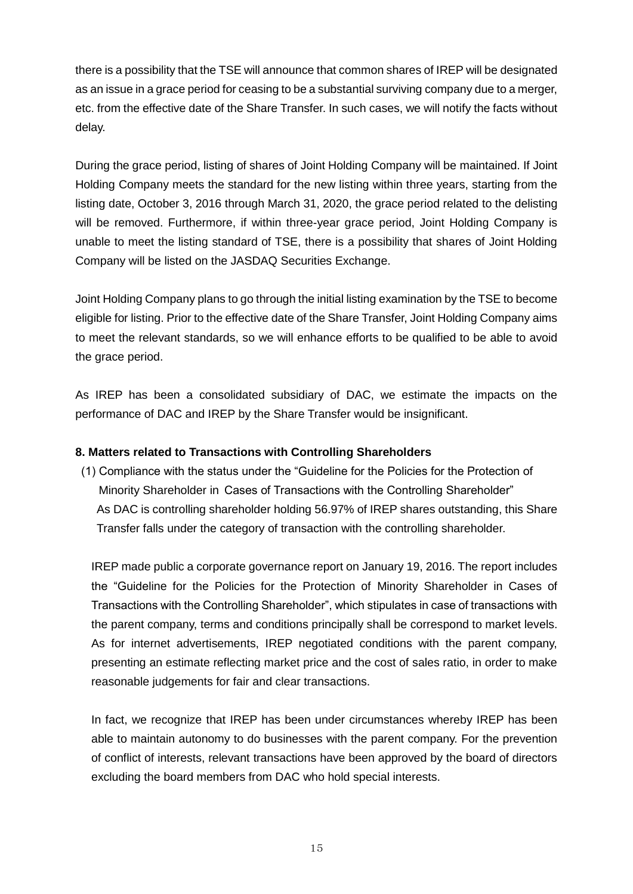there is a possibility that the TSE will announce that common shares of IREP will be designated as an issue in a grace period for ceasing to be a substantial surviving company due to a merger, etc. from the effective date of the Share Transfer. In such cases, we will notify the facts without delay.

During the grace period, listing of shares of Joint Holding Company will be maintained. If Joint Holding Company meets the standard for the new listing within three years, starting from the listing date, October 3, 2016 through March 31, 2020, the grace period related to the delisting will be removed. Furthermore, if within three-year grace period, Joint Holding Company is unable to meet the listing standard of TSE, there is a possibility that shares of Joint Holding Company will be listed on the JASDAQ Securities Exchange.

Joint Holding Company plans to go through the initial listing examination by the TSE to become eligible for listing. Prior to the effective date of the Share Transfer, Joint Holding Company aims to meet the relevant standards, so we will enhance efforts to be qualified to be able to avoid the grace period.

As IREP has been a consolidated subsidiary of DAC, we estimate the impacts on the performance of DAC and IREP by the Share Transfer would be insignificant.

### **8. Matters related to Transactions with Controlling Shareholders**

(1) Compliance with the status under the "Guideline for the Policies for the Protection of Minority Shareholder in Cases of Transactions with the Controlling Shareholder" As DAC is controlling shareholder holding 56.97% of IREP shares outstanding, this Share Transfer falls under the category of transaction with the controlling shareholder.

IREP made public a corporate governance report on January 19, 2016. The report includes the "Guideline for the Policies for the Protection of Minority Shareholder in Cases of Transactions with the Controlling Shareholder", which stipulates in case of transactions with the parent company, terms and conditions principally shall be correspond to market levels. As for internet advertisements, IREP negotiated conditions with the parent company, presenting an estimate reflecting market price and the cost of sales ratio, in order to make reasonable judgements for fair and clear transactions.

In fact, we recognize that IREP has been under circumstances whereby IREP has been able to maintain autonomy to do businesses with the parent company. For the prevention of conflict of interests, relevant transactions have been approved by the board of directors excluding the board members from DAC who hold special interests.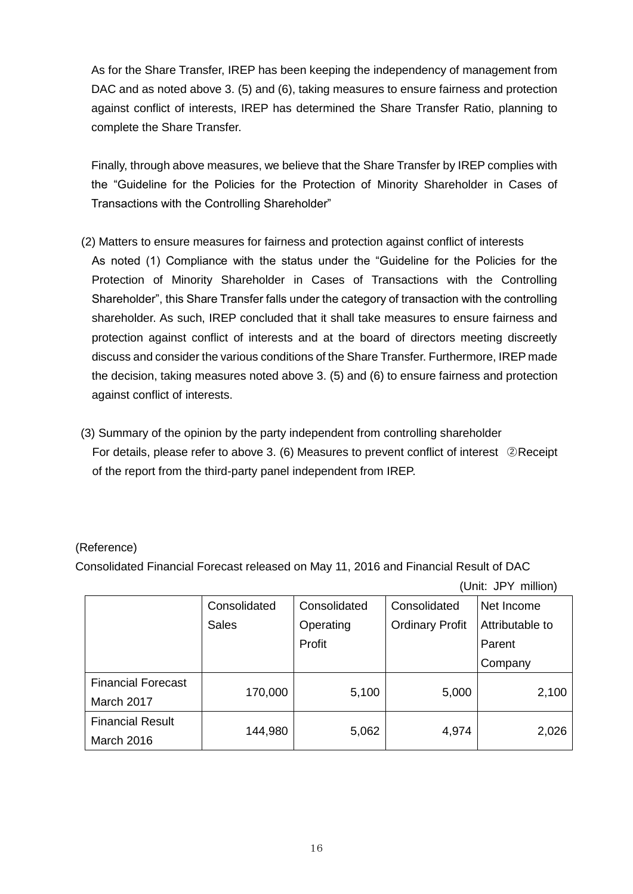As for the Share Transfer, IREP has been keeping the independency of management from DAC and as noted above 3. (5) and (6), taking measures to ensure fairness and protection against conflict of interests, IREP has determined the Share Transfer Ratio, planning to complete the Share Transfer.

Finally, through above measures, we believe that the Share Transfer by IREP complies with the "Guideline for the Policies for the Protection of Minority Shareholder in Cases of Transactions with the Controlling Shareholder"

- (2) Matters to ensure measures for fairness and protection against conflict of interests As noted (1) Compliance with the status under the "Guideline for the Policies for the Protection of Minority Shareholder in Cases of Transactions with the Controlling Shareholder", this Share Transfer falls under the category of transaction with the controlling shareholder. As such, IREP concluded that it shall take measures to ensure fairness and protection against conflict of interests and at the board of directors meeting discreetly discuss and consider the various conditions of the Share Transfer. Furthermore, IREP made the decision, taking measures noted above 3. (5) and (6) to ensure fairness and protection against conflict of interests.
- (3) Summary of the opinion by the party independent from controlling shareholder For details, please refer to above 3. (6) Measures to prevent conflict of interest ②Receipt of the report from the third-party panel independent from IREP.

## (Reference)

Consolidated Financial Forecast released on May 11, 2016 and Financial Result of DAC

(Unit: JPY million)

|                           | Consolidated | Consolidated | Consolidated           | Net Income      |  |
|---------------------------|--------------|--------------|------------------------|-----------------|--|
|                           | <b>Sales</b> | Operating    | <b>Ordinary Profit</b> | Attributable to |  |
|                           |              | Profit       |                        | Parent          |  |
|                           |              |              |                        | Company         |  |
| <b>Financial Forecast</b> | 170,000      |              |                        |                 |  |
| March 2017                |              | 5,100        | 5,000                  | 2,100           |  |
| <b>Financial Result</b>   |              |              |                        |                 |  |
| March 2016                | 144,980      | 5,062        | 4,974                  | 2,026           |  |